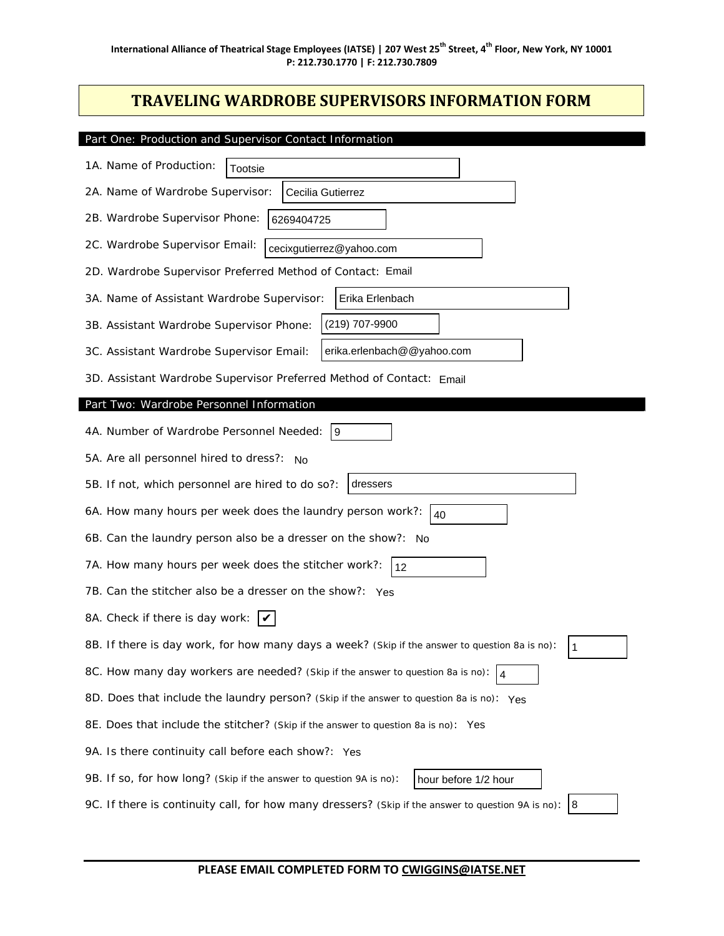## **TRAVELING WARDROBE SUPERVISORS INFORMATION FORM**

| Part One: Production and Supervisor Contact Information                                              |
|------------------------------------------------------------------------------------------------------|
| 1A. Name of Production:<br>Tootsie                                                                   |
| 2A. Name of Wardrobe Supervisor:<br>Cecilia Gutierrez                                                |
| 2B. Wardrobe Supervisor Phone:<br>6269404725                                                         |
| 2C. Wardrobe Supervisor Email:<br>cecixgutierrez@yahoo.com                                           |
| 2D. Wardrobe Supervisor Preferred Method of Contact: Email                                           |
| Erika Erlenbach<br>3A. Name of Assistant Wardrobe Supervisor:                                        |
| (219) 707-9900<br>3B. Assistant Wardrobe Supervisor Phone:                                           |
| erika.erlenbach@@yahoo.com<br>3C. Assistant Wardrobe Supervisor Email:                               |
| 3D. Assistant Wardrobe Supervisor Preferred Method of Contact: Email                                 |
| Part Two: Wardrobe Personnel Information                                                             |
| 4A. Number of Wardrobe Personnel Needed:<br>9                                                        |
| 5A. Are all personnel hired to dress?: No                                                            |
| 5B. If not, which personnel are hired to do so?:<br>dressers                                         |
| 6A. How many hours per week does the laundry person work?:<br>40                                     |
| 6B. Can the laundry person also be a dresser on the show?: No                                        |
| 7A. How many hours per week does the stitcher work?:<br>12                                           |
| 7B. Can the stitcher also be a dresser on the show?: Yes                                             |
| 8A. Check if there is day work: $\mathcal{V}$                                                        |
| 8B. If there is day work, for how many days a week? (Skip if the answer to question 8a is no):<br>1  |
| 8C. How many day workers are needed? (Skip if the answer to question 8a is no):<br>4                 |
| 8D. Does that include the laundry person? (Skip if the answer to question 8a is no): Yes             |
| 8E. Does that include the stitcher? (Skip if the answer to question 8a is no): Yes                   |
| 9A. Is there continuity call before each show?: Yes                                                  |
| 9B. If so, for how long? (Skip if the answer to question 9A is no):<br>hour before 1/2 hour          |
| 9C. If there is continuity call, for how many dressers? (Skip if the answer to question 9A is no): 8 |

**PLEASE EMAIL COMPLETED FORM TO CWIGGINS@IATSE.NET**